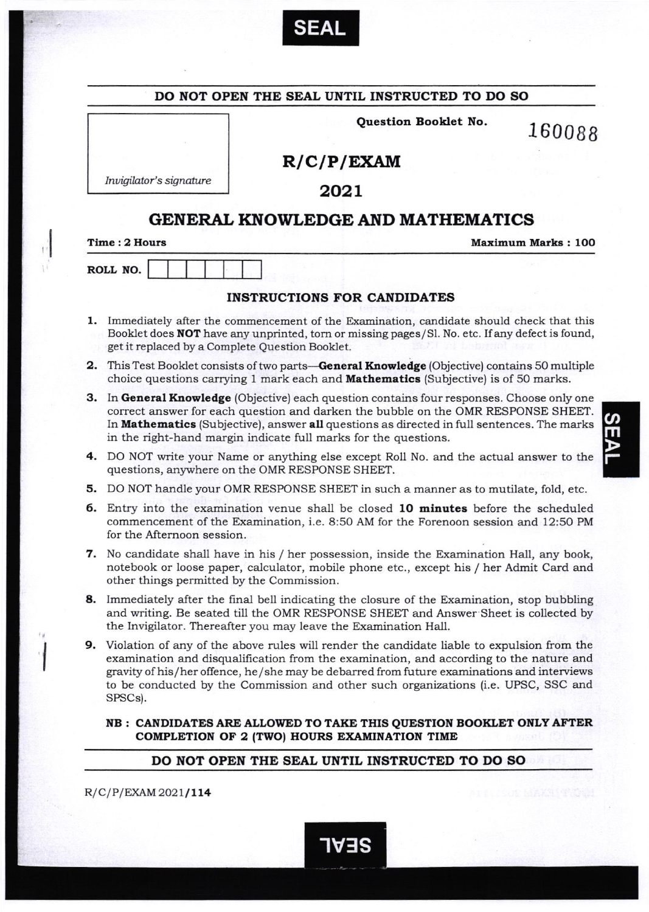

|    |                                                                                                                                                                                                                                                                                                                                               | DO NOT OPEN THE SEAL UNTIL INSTRUCTED TO DO SO                                                                                                                                                                                                                                                                                                                              |                           |
|----|-----------------------------------------------------------------------------------------------------------------------------------------------------------------------------------------------------------------------------------------------------------------------------------------------------------------------------------------------|-----------------------------------------------------------------------------------------------------------------------------------------------------------------------------------------------------------------------------------------------------------------------------------------------------------------------------------------------------------------------------|---------------------------|
|    |                                                                                                                                                                                                                                                                                                                                               | Question Booklet No.                                                                                                                                                                                                                                                                                                                                                        | 160088                    |
|    |                                                                                                                                                                                                                                                                                                                                               | R/C/P/EXAMPLE                                                                                                                                                                                                                                                                                                                                                               |                           |
|    | Invigilator's signature                                                                                                                                                                                                                                                                                                                       |                                                                                                                                                                                                                                                                                                                                                                             |                           |
|    |                                                                                                                                                                                                                                                                                                                                               | 2021                                                                                                                                                                                                                                                                                                                                                                        |                           |
|    |                                                                                                                                                                                                                                                                                                                                               | <b>GENERAL KNOWLEDGE AND MATHEMATICS</b>                                                                                                                                                                                                                                                                                                                                    |                           |
|    | Time: 2 Hours                                                                                                                                                                                                                                                                                                                                 |                                                                                                                                                                                                                                                                                                                                                                             | <b>Maximum Marks: 100</b> |
|    | ROLL NO.                                                                                                                                                                                                                                                                                                                                      |                                                                                                                                                                                                                                                                                                                                                                             |                           |
|    |                                                                                                                                                                                                                                                                                                                                               |                                                                                                                                                                                                                                                                                                                                                                             |                           |
|    |                                                                                                                                                                                                                                                                                                                                               | <b>INSTRUCTIONS FOR CANDIDATES</b>                                                                                                                                                                                                                                                                                                                                          |                           |
|    | 1. Immediately after the commencement of the Examination, candidate should check that this<br>Booklet does <b>NOT</b> have any unprinted, torn or missing pages/Sl. No. etc. If any defect is found,<br>get it replaced by a Complete Question Booklet.                                                                                       |                                                                                                                                                                                                                                                                                                                                                                             |                           |
|    | <b>2.</b> This Test Booklet consists of two parts— <b>General Knowledge</b> (Objective) contains 50 multiple<br>choice questions carrying 1 mark each and <b>Mathematics</b> (Subjective) is of 50 marks.                                                                                                                                     |                                                                                                                                                                                                                                                                                                                                                                             |                           |
| з. | In General Knowledge (Objective) each question contains four responses. Choose only one<br>correct answer for each question and darken the bubble on the OMR RESPONSE SHEET.<br>In Mathematics (Subjective), answer all questions as directed in full sentences. The marks<br>in the right-hand margin indicate full marks for the questions. |                                                                                                                                                                                                                                                                                                                                                                             |                           |
|    | 4. DO NOT write your Name or anything else except Roll No. and the actual answer to the<br>questions, anywhere on the OMR RESPONSE SHEET.                                                                                                                                                                                                     |                                                                                                                                                                                                                                                                                                                                                                             |                           |
|    |                                                                                                                                                                                                                                                                                                                                               | 5. DO NOT handle your OMR RESPONSE SHEET in such a manner as to mutilate, fold, etc.                                                                                                                                                                                                                                                                                        |                           |
|    | 6. Entry into the examination venue shall be closed 10 minutes before the scheduled<br>commencement of the Examination, i.e. 8:50 AM for the Forenoon session and 12:50 PM<br>for the Afternoon session.                                                                                                                                      |                                                                                                                                                                                                                                                                                                                                                                             |                           |
|    | 7. No candidate shall have in his / her possession, inside the Examination Hall, any book,<br>notebook or loose paper, calculator, mobile phone etc., except his / her Admit Card and<br>other things permitted by the Commission.                                                                                                            |                                                                                                                                                                                                                                                                                                                                                                             |                           |
|    | 8. Immediately after the final bell indicating the closure of the Examination, stop bubbling<br>and writing. Be seated till the OMR RESPONSE SHEET and Answer Sheet is collected by<br>the Invigilator. Thereafter you may leave the Examination Hall.                                                                                        |                                                                                                                                                                                                                                                                                                                                                                             |                           |
|    | SPSCs).                                                                                                                                                                                                                                                                                                                                       | 9. Violation of any of the above rules will render the candidate liable to expulsion from the<br>examination and disqualification from the examination, and according to the nature and<br>gravity of his/her offence, he/she may be debarred from future examinations and interviews<br>to be conducted by the Commission and other such organizations (i.e. UPSC, SSC and |                           |
|    |                                                                                                                                                                                                                                                                                                                                               | NB : CANDIDATES ARE ALLOWED TO TAKE THIS QUESTION BOOKLET ONLY AFTER<br>COMPLETION OF 2 (TWO) HOURS EXAMINATION TIME                                                                                                                                                                                                                                                        |                           |

-IV3S

 $R/C/P/EXAMPLEXAM2021/114$ 

 $\begin{bmatrix} 1 \\ 1 \\ 1 \end{bmatrix}$ 

 $\ddot{\phantom{a}}$